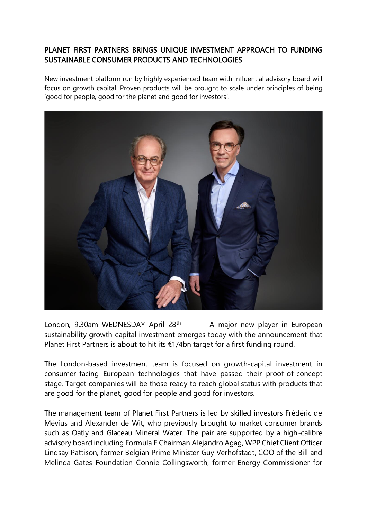# PLANET FIRST PARTNERS BRINGS UNIQUE INVESTMENT APPROACH TO FUNDING SUSTAINABLE CONSUMER PRODUCTS AND TECHNOLOGIES

New investment platform run by highly experienced team with influential advisory board will focus on growth capital. Proven products will be brought to scale under principles of being 'good for people, good for the planet and good for investors'.



London, 9.30am WEDNESDAY April 28<sup>th</sup> --A major new player in European sustainability growth-capital investment emerges today with the announcement that Planet First Partners is about to hit its €1/4bn target for a first funding round.

The London-based investment team is focused on growth-capital investment in consumer-facing European technologies that have passed their proof-of-concept stage. Target companies will be those ready to reach global status with products that are good for the planet, good for people and good for investors.

The management team of Planet First Partners is led by skilled investors Frédéric de Mévius and Alexander de Wit, who previously brought to market consumer brands such as Oatly and Glaceau Mineral Water. The pair are supported by a high-calibre advisory board including Formula E Chairman Alejandro Agag, WPP Chief Client Officer Lindsay Pattison, former Belgian Prime Minister Guy Verhofstadt, COO of the Bill and Melinda Gates Foundation Connie Collingsworth, former Energy Commissioner for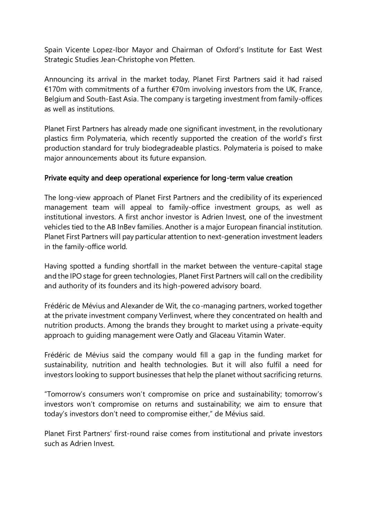Spain Vicente Lopez-Ibor Mayor and Chairman of Oxford's Institute for East West Strategic Studies Jean-Christophe von Pfetten.

Announcing its arrival in the market today, Planet First Partners said it had raised €170m with commitments of a further €70m involving investors from the UK, France, Belgium and South-East Asia. The company is targeting investment from family-offices as well as institutions.

Planet First Partners has already made one significant investment, in the revolutionary plastics firm Polymateria, which recently supported the creation of the world's first production standard for truly biodegradeable plastics. Polymateria is poised to make major announcements about its future expansion.

## Private equity and deep operational experience for long-term value creation

The long-view approach of Planet First Partners and the credibility of its experienced management team will appeal to family-office investment groups, as well as institutional investors. A first anchor investor is Adrien Invest, one of the investment vehicles tied to the AB InBev families. Another is a major European financial institution. Planet First Partners will pay particular attention to next-generation investment leaders in the family-office world.

Having spotted a funding shortfall in the market between the venture-capital stage and the IPO stage for green technologies, Planet First Partners will call on the credibility and authority of its founders and its high-powered advisory board.

Frédéric de Mévius and Alexander de Wit, the co-managing partners, worked together at the private investment company Verlinvest, where they concentrated on health and nutrition products. Among the brands they brought to market using a private-equity approach to guiding management were Oatly and Glaceau Vitamin Water.

Frédéric de Mévius said the company would fill a gap in the funding market for sustainability, nutrition and health technologies. But it will also fulfil a need for investors looking to support businesses that help the planet without sacrificing returns.

"Tomorrow's consumers won't compromise on price and sustainability; tomorrow's investors won't compromise on returns and sustainability; we aim to ensure that today's investors don't need to compromise either," de Mévius said.

Planet First Partners' first-round raise comes from institutional and private investors such as Adrien Invest.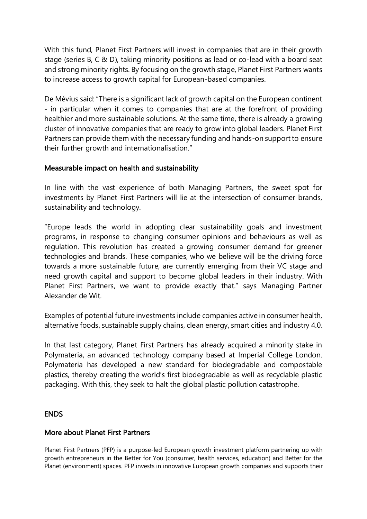With this fund, Planet First Partners will invest in companies that are in their growth stage (series B, C & D), taking minority positions as lead or co-lead with a board seat and strong minority rights. By focusing on the growth stage, Planet First Partners wants to increase access to growth capital for European-based companies.

De Mévius said: "There is a significant lack of growth capital on the European continent - in particular when it comes to companies that are at the forefront of providing healthier and more sustainable solutions. At the same time, there is already a growing cluster of innovative companies that are ready to grow into global leaders. Planet First Partners can provide them with the necessary funding and hands-on support to ensure their further growth and internationalisation."

### Measurable impact on health and sustainability

In line with the vast experience of both Managing Partners, the sweet spot for investments by Planet First Partners will lie at the intersection of consumer brands, sustainability and technology.

"Europe leads the world in adopting clear sustainability goals and investment programs, in response to changing consumer opinions and behaviours as well as regulation. This revolution has created a growing consumer demand for greener technologies and brands. These companies, who we believe will be the driving force towards a more sustainable future, are currently emerging from their VC stage and need growth capital and support to become global leaders in their industry. With Planet First Partners, we want to provide exactly that." says Managing Partner Alexander de Wit.

Examples of potential future investments include companies active in consumer health, alternative foods, sustainable supply chains, clean energy, smart cities and industry 4.0.

In that last category, Planet First Partners has already acquired a minority stake in Polymateria, an advanced technology company based at Imperial College London. Polymateria has developed a new standard for biodegradable and compostable plastics, thereby creating the world's first biodegradable as well as recyclable plastic packaging. With this, they seek to halt the global plastic pollution catastrophe.

#### ENDS

#### More about Planet First Partners

Planet First Partners (PFP) is a purpose-led European growth investment platform partnering up with growth entrepreneurs in the Better for You (consumer, health services, education) and Better for the Planet (environment) spaces. PFP invests in innovative European growth companies and supports their